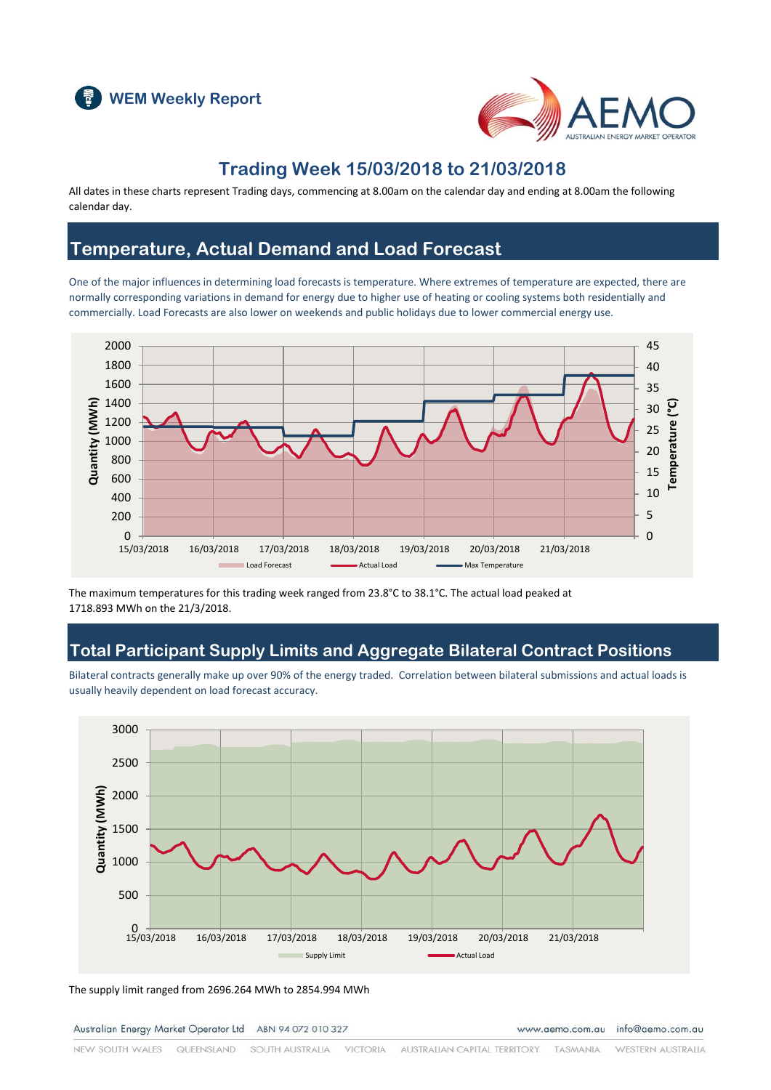



### **Trading Week 15/03/2018 to 21/03/2018**

All dates in these charts represent Trading days, commencing at 8.00am on the calendar day and ending at 8.00am the following calendar day.

### **Temperature, Actual Demand and Load Forecast**

One of the major influences in determining load forecasts is temperature. Where extremes of temperature are expected, there are normally corresponding variations in demand for energy due to higher use of heating or cooling systems both residentially and commercially. Load Forecasts are also lower on weekends and public holidays due to lower commercial energy use.



The maximum temperatures for this trading week ranged from 23.8°C to 38.1°C. The actual load peaked at 1718.893 MWh on the 21/3/2018.

### **Total Participant Supply Limits and Aggregate Bilateral Contract Positions**

Bilateral contracts generally make up over 90% of the energy traded. Correlation between bilateral submissions and actual loads is usually heavily dependent on load forecast accuracy.



The supply limit ranged from 2696.264 MWh to 2854.994 MWh

Australian Energy Market Operator Ltd ABN 94 072 010 327

www.aemo.com.au info@aemo.com.au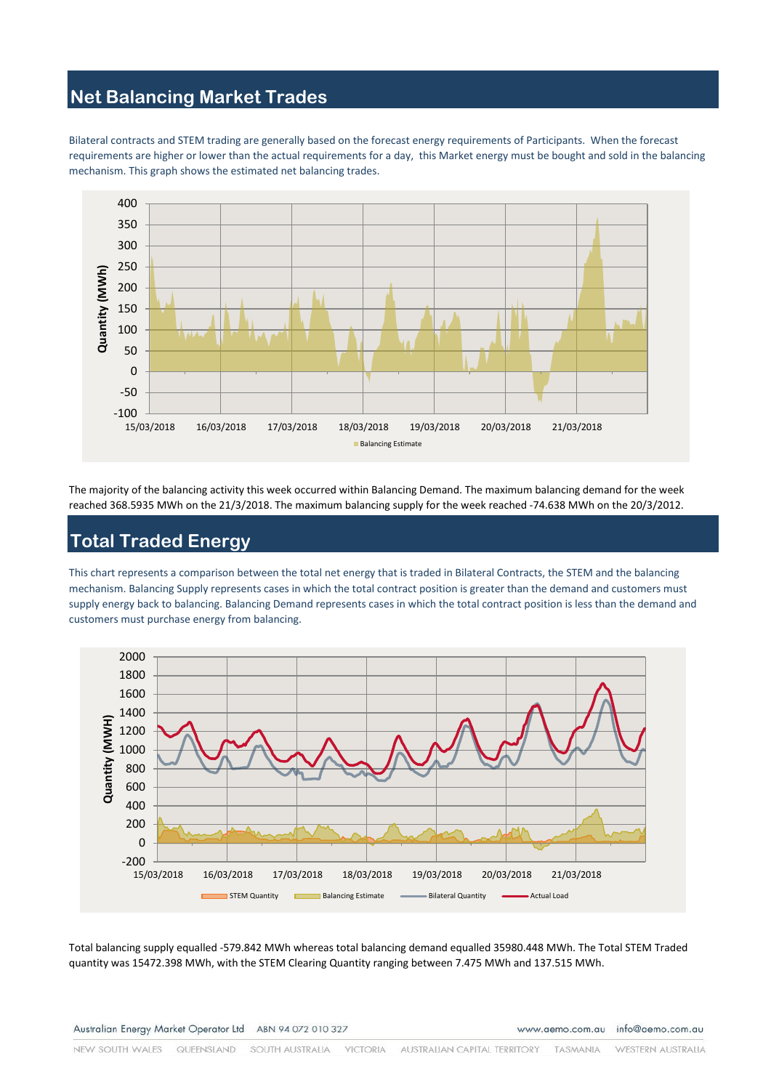# **Net Balancing Market Trades**

Bilateral contracts and STEM trading are generally based on the forecast energy requirements of Participants. When the forecast requirements are higher or lower than the actual requirements for a day, this Market energy must be bought and sold in the balancing mechanism. This graph shows the estimated net balancing trades.



The majority of the balancing activity this week occurred within Balancing Demand. The maximum balancing demand for the week reached 368.5935 MWh on the 21/3/2018. The maximum balancing supply for the week reached -74.638 MWh on the 20/3/2012.

## **Total Traded Energy**

This chart represents a comparison between the total net energy that is traded in Bilateral Contracts, the STEM and the balancing mechanism. Balancing Supply represents cases in which the total contract position is greater than the demand and customers must supply energy back to balancing. Balancing Demand represents cases in which the total contract position is less than the demand and customers must purchase energy from balancing.



Total balancing supply equalled -579.842 MWh whereas total balancing demand equalled 35980.448 MWh. The Total STEM Traded quantity was 15472.398 MWh, with the STEM Clearing Quantity ranging between 7.475 MWh and 137.515 MWh.

www.aemo.com.au info@aemo.com.au